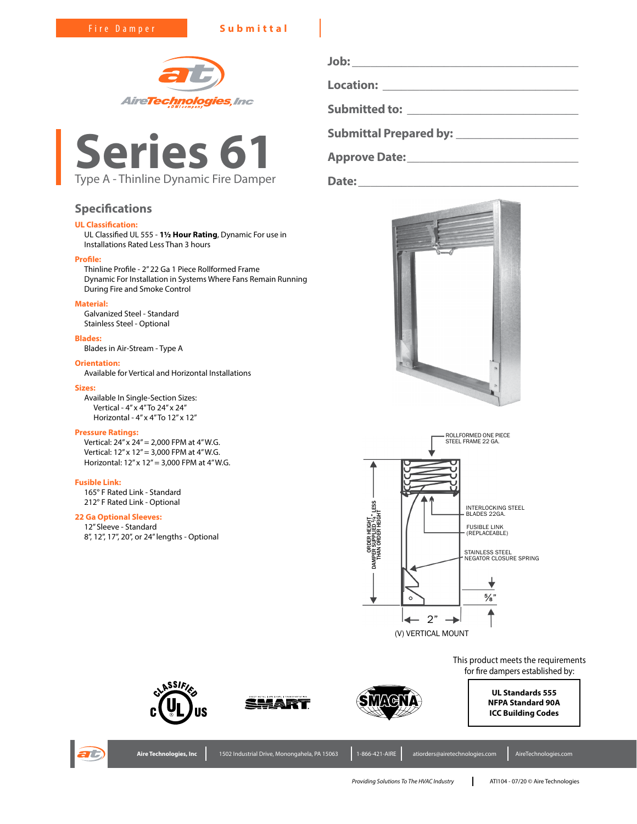Fire Damper **Submittal**





# **Specifications**

# **UL Classification:**

UL Classified UL 555 - **1½ Hour Rating**, Dynamic For use in Installations Rated Less Than 3 hours

# **Profile:**

Thinline Profile - 2" 22 Ga 1 Piece Rollformed Frame Dynamic For Installation in Systems Where Fans Remain Running During Fire and Smoke Control

### **Material:**

Galvanized Steel - Standard Stainless Steel - Optional

# **Blades:**

Blades in Air-Stream - Type A

### **Orientation:**

Available for Vertical and Horizontal Installations

### **Sizes:**

Available In Single-Section Sizes: Vertical - 4" x 4" To 24" x 24" Horizontal - 4" x 4" To 12" x 12"

### **Pressure Ratings:**

Vertical: 24" x 24" = 2,000 FPM at 4" W.G. Vertical: 12" x 12" = 3,000 FPM at 4" W.G. Horizontal: 12" x 12" = 3,000 FPM at 4" W.G.

### **Fusible Link:**

165° F Rated Link - Standard 212° F Rated Link - Optional

## **22 Ga Optional Sleeves:**

12" Sleeve - Standard 8", 12", 17", 20", or 24" lengths - Optional

**Job: \_\_\_\_\_\_\_\_\_\_\_\_\_\_\_\_\_\_\_\_\_\_\_\_\_\_\_\_\_\_\_\_\_\_\_\_\_ Location: \_\_\_\_\_\_\_\_\_\_\_\_\_\_\_\_\_\_\_\_\_\_\_\_\_\_\_\_\_\_\_\_ Submitted to: \_\_\_\_\_\_\_\_\_\_\_\_\_\_\_\_\_\_\_\_\_\_\_\_\_\_\_\_ Submittal Prepared by: \_\_\_\_\_\_\_\_\_\_\_\_\_\_\_\_\_\_\_\_**

**Approve Date:\_\_\_\_\_\_\_\_\_\_\_\_\_\_\_\_\_\_\_\_\_\_\_\_\_\_\_\_**





This product meets the requirements for fire dampers established by:

ASSIFI





Aire Technologies, Inc 1502 Industrial Drive, Monongahela, PA 15063 1-866-421-AIRE atiorders@airetechnologies.com AireTechnologies.com



*Providing Solutions To The HVAC Industry* ATI104 - 07/20 © Aire Technologies